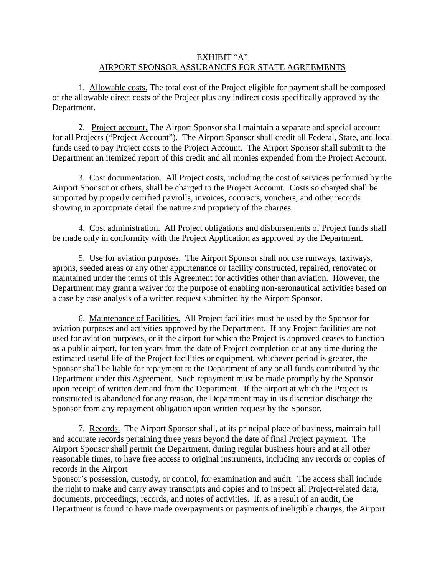## EXHIBIT "A" AIRPORT SPONSOR ASSURANCES FOR STATE AGREEMENTS

 1. Allowable costs. The total cost of the Project eligible for payment shall be composed of the allowable direct costs of the Project plus any indirect costs specifically approved by the Department.

 2. Project account. The Airport Sponsor shall maintain a separate and special account for all Projects ("Project Account"). The Airport Sponsor shall credit all Federal, State, and local funds used to pay Project costs to the Project Account. The Airport Sponsor shall submit to the Department an itemized report of this credit and all monies expended from the Project Account.

 3. Cost documentation. All Project costs, including the cost of services performed by the Airport Sponsor or others, shall be charged to the Project Account. Costs so charged shall be supported by properly certified payrolls, invoices, contracts, vouchers, and other records showing in appropriate detail the nature and propriety of the charges.

 4. Cost administration. All Project obligations and disbursements of Project funds shall be made only in conformity with the Project Application as approved by the Department.

 5. Use for aviation purposes. The Airport Sponsor shall not use runways, taxiways, aprons, seeded areas or any other appurtenance or facility constructed, repaired, renovated or maintained under the terms of this Agreement for activities other than aviation. However, the Department may grant a waiver for the purpose of enabling non-aeronautical activities based on a case by case analysis of a written request submitted by the Airport Sponsor.

 6. Maintenance of Facilities. All Project facilities must be used by the Sponsor for aviation purposes and activities approved by the Department. If any Project facilities are not used for aviation purposes, or if the airport for which the Project is approved ceases to function as a public airport, for ten years from the date of Project completion or at any time during the estimated useful life of the Project facilities or equipment, whichever period is greater, the Sponsor shall be liable for repayment to the Department of any or all funds contributed by the Department under this Agreement. Such repayment must be made promptly by the Sponsor upon receipt of written demand from the Department. If the airport at which the Project is constructed is abandoned for any reason, the Department may in its discretion discharge the Sponsor from any repayment obligation upon written request by the Sponsor.

 7. Records. The Airport Sponsor shall, at its principal place of business, maintain full and accurate records pertaining three years beyond the date of final Project payment. The Airport Sponsor shall permit the Department, during regular business hours and at all other reasonable times, to have free access to original instruments, including any records or copies of records in the Airport

Sponsor's possession, custody, or control, for examination and audit. The access shall include the right to make and carry away transcripts and copies and to inspect all Project-related data, documents, proceedings, records, and notes of activities. If, as a result of an audit, the Department is found to have made overpayments or payments of ineligible charges, the Airport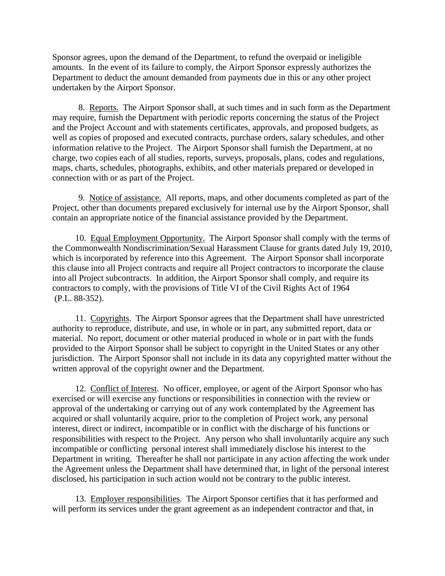Sponsor agrees, upon the demand of the Department, to refund the overpaid or ineligible amounts. In the event of its failure to comply, the Airport Sponsor expressly authorizes the Department to deduct the amount demanded from payments due in this or any other project undertaken by the Airport Sponsor.

 8. Reports. The Airport Sponsor shall, at such times and in such form as the Department may require, furnish the Department with periodic reports concerning the status of the Project and the Project Account and with statements certificates, approvals, and proposed budgets, as well as copies of proposed and executed contracts, purchase orders, salary schedules, and other information relative to the Project. The Airport Sponsor shall furnish the Department, at no charge, two copies each of all studies, reports, surveys, proposals, plans, codes and regulations, maps, charts, schedules, photographs, exhibits, and other materials prepared or developed in connection with or as part of the Project.

 9. Notice of assistance. All reports, maps, and other documents completed as part of the Project, other than documents prepared exclusively for internal use by the Airport Sponsor, shall contain an appropriate notice of the financial assistance provided by the Department.

10. Equal Employment Opportunity. The Airport Sponsor shall comply with the terms of (P.L. 88-352). the Commonwealth Nondiscrimination/Sexual Harassment Clause for grants dated July 19, 2010, which is incorporated by reference into this Agreement. The Airport Sponsor shall incorporate this clause into all Project contracts and require all Project contractors to incorporate the clause into all Project subcontracts. In addition, the Airport Sponsor shall comply, and require its contractors to comply, with the provisions of Title VI of the Civil Rights Act of 1964

 11. Copyrights. The Airport Sponsor agrees that the Department shall have unrestricted authority to reproduce, distribute, and use, in whole or in part, any submitted report, data or material. No report, document or other material produced in whole or in part with the funds provided to the Airport Sponsor shall be subject to copyright in the United States or any other jurisdiction. The Airport Sponsor shall not include in its data any copyrighted matter without the written approval of the copyright owner and the Department.

 12. Conflict of Interest. No officer, employee, or agent of the Airport Sponsor who has exercised or will exercise any functions or responsibilities in connection with the review or approval of the undertaking or carrying out of any work contemplated by the Agreement has acquired or shall voluntarily acquire, prior to the completion of Project work, any personal interest, direct or indirect, incompatible or in conflict with the discharge of his functions or responsibilities with respect to the Project. Any person who shall involuntarily acquire any such incompatible or conflicting personal interest shall immediately disclose his interest to the Department in writing. Thereafter he shall not participate in any action affecting the work under the Agreement unless the Department shall have determined that, in light of the personal interest disclosed, his participation in such action would not be contrary to the public interest.

 13. Employer responsibilities. The Airport Sponsor certifies that it has performed and will perform its services under the grant agreement as an independent contractor and that, in